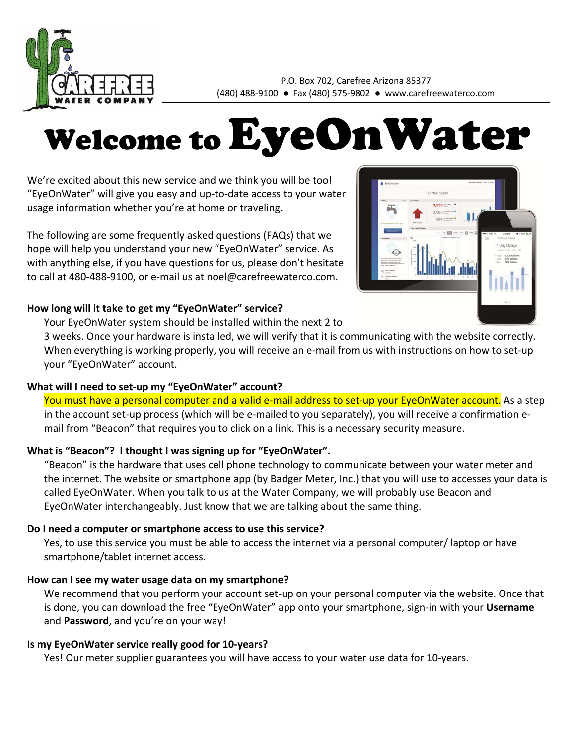

P.O. Box 702, Carefree Arizona 85377 (480) 488‐9100 ● Fax (480) 575‐9802 ● www.carefreewaterco.com

# Welcome to EyeOnWater

We're excited about this new service and we think you will be too! "EyeOnWater" will give you easy and up‐to‐date access to your water usage information whether you're at home or traveling.

The following are some frequently asked questions (FAQs) that we hope will help you understand your new "EyeOnWater" service. As with anything else, if you have questions for us, please don't hesitate to call at 480‐488‐9100, or e‐mail us at noel@carefreewaterco.com.

## **How long will it take to get my "EyeOnWater" service?**

Your EyeOnWater system should be installed within the next 2 to



## **What will I need to set‐up my "EyeOnWater" account?**

You must have a personal computer and a valid e-mail address to set-up your EyeOnWater account. As a step in the account set‐up process (which will be e‐mailed to you separately), you will receive a confirmation e‐ mail from "Beacon" that requires you to click on a link. This is a necessary security measure.

# **What is "Beacon"? I thought I was signing up for "EyeOnWater".**

"Beacon" is the hardware that uses cell phone technology to communicate between your water meter and the internet. The website or smartphone app (by Badger Meter, Inc.) that you will use to accesses your data is called EyeOnWater. When you talk to us at the Water Company, we will probably use Beacon and EyeOnWater interchangeably. Just know that we are talking about the same thing.

## **Do I need a computer or smartphone access to use this service?**

Yes, to use this service you must be able to access the internet via a personal computer/ laptop or have smartphone/tablet internet access.

# **How can I see my water usage data on my smartphone?**

We recommend that you perform your account set-up on your personal computer via the website. Once that is done, you can download the free "EyeOnWater" app onto your smartphone, sign‐in with your **Username** and **Password**, and you're on your way!

# **Is my EyeOnWater service really good for 10‐years?**

Yes! Our meter supplier guarantees you will have access to your water use data for 10‐years.